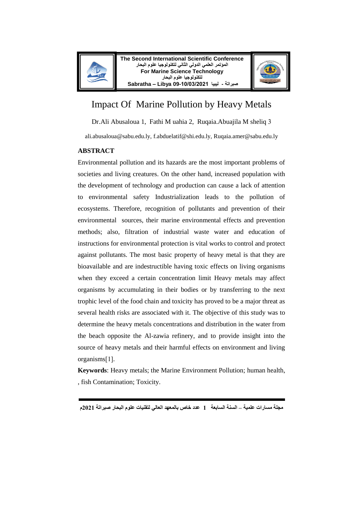



# Impact Of Marine Pollution by Heavy Metals

Dr.Ali Abusaloua 1, Fathi M uahia 2, Ruqaia.Abuajila M sheliq

ali.abusaloua@sabu.edu.ly, f.abduelatif@shi.edu.ly, Ruqaia.amer@sabu.edu.ly

#### **ABSTRACT**

Environmental pollution and its hazards are the most important problems of societies and living creatures. On the other hand, increased population with the development of technology and production can cause a lack of attention to environmental safety Industrialization leads to the pollution of ecosystems. Therefore, recognition of pollutants and prevention of their environmental sources, their marine environmental effects and prevention methods; also, filtration of industrial waste water and education of instructions for environmental protection is vital works to control and protect against pollutants. The most basic property of heavy metal is that they are bioavailable and are indestructible having toxic effects on living organisms when they exceed a certain concentration limit Heavy metals may affect organisms by accumulating in their bodies or by transferring to the next trophic level of the food chain and toxicity has proved to be a major threat as several health risks are associated with it. The objective of this study was to determine the heavy metals concentrations and distribution in the water from the beach opposite the Al-zawia refinery, and to provide insight into the source of heavy metals and their harmful effects on environment and living  $organisms[1].$ 

**Keywords**: Heavy metals; the Marine Environment Pollution; human health, , fish Contamination; Toxicity.

**مجلة مسارات علمية – السنة السابعة 1 عدد خاص بالمعهد العالي لتقنيات علوم البحار صبراتة 2021م**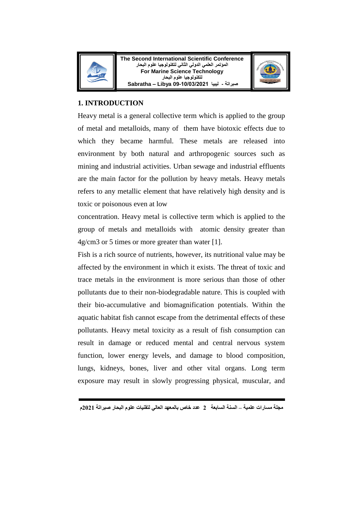



# **1. INTRODUCTION**

Heavy metal is a general collective term which is applied to the group of metal and metalloids, many of them have biotoxic effects due to which they became harmful. These metals are released into environment by both natural and arthropogenic sources such as mining and industrial activities. Urban sewage and industrial effluents are the main factor for the pollution by heavy metals. Heavy metals refers to any metallic element that have relatively high density and is toxic or poisonous even at low

concentration. Heavy metal is collective term which is applied to the group of metals and metalloids with atomic density greater than 4g/cm3 or 5 times or more greater than water [1].

Fish is a rich source of nutrients, however, its nutritional value may be affected by the environment in which it exists. The threat of toxic and trace metals in the environment is more serious than those of other pollutants due to their non-biodegradable nature. This is coupled with their bio-accumulative and biomagnification potentials. Within the aquatic habitat fish cannot escape from the detrimental effects of these pollutants. Heavy metal toxicity as a result of fish consumption can result in damage or reduced mental and central nervous system function, lower energy levels, and damage to blood composition, lungs, kidneys, bones, liver and other vital organs. Long term exposure may result in slowly progressing physical, muscular, and

**مجلة مسارات علمية – السنة السابعة 2 عدد خاص بالمعهد العالي لتقنيات علوم البحار صبراتة 2021م**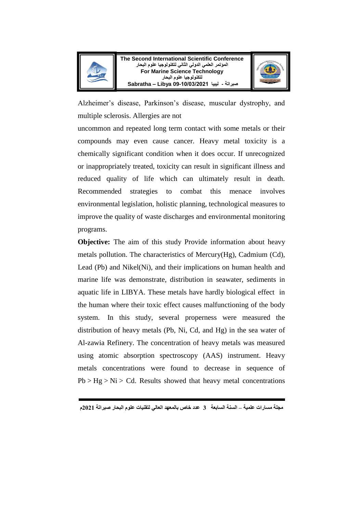

**The Second International Scientific Conference المؤتمر العلمي الدولي الثاني لتكنولوجيا علوم البحار For Marine Science Technology لتكنولوجيا علوم البحار صبراتة - ليبيا 09-10/03/2021 Libya – Sabratha**



Alzheimer's disease, Parkinson's disease, muscular dystrophy, and multiple sclerosis. Allergies are not

uncommon and repeated long term contact with some metals or their compounds may even cause cancer. Heavy metal toxicity is a chemically significant condition when it does occur. If unrecognized or inappropriately treated, toxicity can result in significant illness and reduced quality of life which can ultimately result in death. Recommended strategies to combat this menace involves environmental legislation, holistic planning, technological measures to improve the quality of waste discharges and environmental monitoring programs.

**Objective:** The aim of this study Provide information about heavy metals pollution. The characteristics of Mercury(Hg), Cadmium (Cd), Lead (Pb) and Nikel(Ni), and their implications on human health and marine life was demonstrate, distribution in seawater, sediments in aquatic life in LIBYA. These metals have hardly biological effect in the human where their toxic effect causes malfunctioning of the body system. In this study, several properness were measured the distribution of heavy metals (Pb, Ni, Cd, and Hg) in the sea water of Al-zawia Refinery. The concentration of heavy metals was measured using atomic absorption spectroscopy (AAS) instrument. Heavy metals concentrations were found to decrease in sequence of  $Pb > Hg > Ni > Cd$ . Results showed that heavy metal concentrations

**مجلة مسارات علمية – السنة السابعة 3 عدد خاص بالمعهد العالي لتقنيات علوم البحار صبراتة 2021م**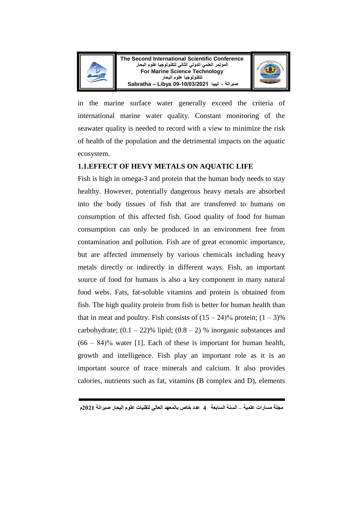



in the marine surface water generally exceed the criteria of international marine water quality. Constant monitoring of the seawater quality is needed to record with a view to minimize the risk of health of the population and the detrimental impacts on the aquatic ecosystem.

## **1.1.EFFECT OF HEVY METALS ON AQUATIC LIFE**

Fish is high in omega-3 and protein that the human body needs to stay healthy. However, potentially dangerous heavy metals are absorbed into the body tissues of fish that are transferred to humans on consumption of this affected fish. Good quality of food for human consumption can only be produced in an environment free from contamination and pollution. Fish are of great economic importance, but are affected immensely by various chemicals including heavy metals directly or indirectly in different ways. Fish, an important source of food for humans is also a key component in many natural food webs. Fats, fat-soluble vitamins and protein is obtained from fish. The high quality protein from fish is better for human health than that in meat and poultry. Fish consists of  $(15 – 24)$ % protein;  $(1 – 3)$ % carbohydrate;  $(0.1 - 22)$ % lipid;  $(0.8 - 2)$ % inorganic substances and  $(66 - 84)$ % water [1]. Each of these is important for human health, growth and intelligence. Fish play an important role as it is an important source of trace minerals and calcium. It also provides calories, nutrients such as fat, vitamins (B complex and D), elements

**مجلة مسارات علمية – السنة السابعة 4 عدد خاص بالمعهد العالي لتقنيات علوم البحار صبراتة 2021م**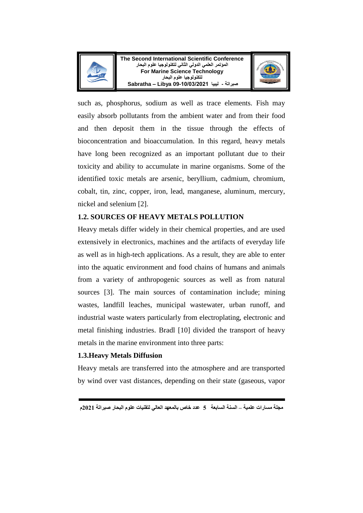



such as, phosphorus, sodium as well as trace elements. Fish may easily absorb pollutants from the ambient water and from their food and then deposit them in the tissue through the effects of bioconcentration and bioaccumulation. In this regard, heavy metals have long been recognized as an important pollutant due to their toxicity and ability to accumulate in marine organisms. Some of the identified toxic metals are arsenic, beryllium, cadmium, chromium, cobalt, tin, zinc, copper, iron, lead, manganese, aluminum, mercury, nickel and selenium [2].

## **1.2. SOURCES OF HEAVY METALS POLLUTION**

Heavy metals differ widely in their chemical properties, and are used extensively in electronics, machines and the artifacts of everyday life as well as in high-tech applications. As a result, they are able to enter into the aquatic environment and food chains of humans and animals from a variety of anthropogenic sources as well as from natural sources [3]. The main sources of contamination include; mining wastes, landfill leaches, municipal wastewater, urban runoff, and industrial waste waters particularly from electroplating, electronic and metal finishing industries. Bradl [10] divided the transport of heavy metals in the marine environment into three parts:

## **1.3.Heavy Metals Diffusion**

Heavy metals are transferred into the atmosphere and are transported by wind over vast distances, depending on their state (gaseous, vapor

**مجلة مسارات علمية – السنة السابعة 5 عدد خاص بالمعهد العالي لتقنيات علوم البحار صبراتة 2021م**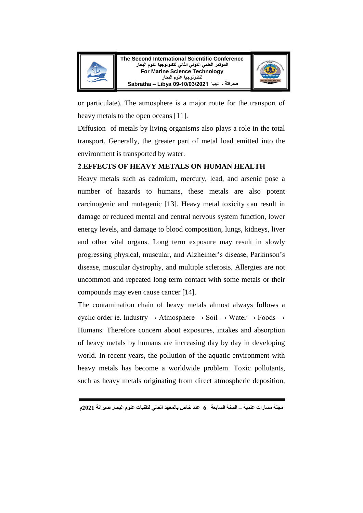



or particulate). The atmosphere is a major route for the transport of heavy metals to the open oceans [11].

Diffusion of metals by living organisms also plays a role in the total transport. Generally, the greater part of metal load emitted into the environment is transported by water.

# .**EFFECTS OF HEAVY METALS ON HUMAN HEALTH**

Heavy metals such as cadmium, mercury, lead, and arsenic pose a number of hazards to humans, these metals are also potent carcinogenic and mutagenic [13]. Heavy metal toxicity can result in damage or reduced mental and central nervous system function, lower energy levels, and damage to blood composition, lungs, kidneys, liver and other vital organs. Long term exposure may result in slowly progressing physical, muscular, and Alzheimer's disease, Parkinson's disease, muscular dystrophy, and multiple sclerosis. Allergies are not uncommon and repeated long term contact with some metals or their compounds may even cause cancer [14].

The contamination chain of heavy metals almost always follows a cyclic order ie. Industry → Atmosphere → Soil → Water → Foods → Humans. Therefore concern about exposures, intakes and absorption of heavy metals by humans are increasing day by day in developing world. In recent years, the pollution of the aquatic environment with heavy metals has become a worldwide problem. Toxic pollutants, such as heavy metals originating from direct atmospheric deposition,

**مجلة مسارات علمية – السنة السابعة 6 عدد خاص بالمعهد العالي لتقنيات علوم البحار صبراتة 2021م**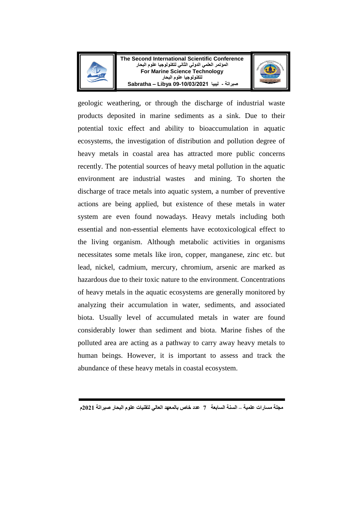



geologic weathering, or through the discharge of industrial waste products deposited in marine sediments as a sink. Due to their potential toxic effect and ability to bioaccumulation in aquatic ecosystems, the investigation of distribution and pollution degree of heavy metals in coastal area has attracted more public concerns recently. The potential sources of heavy metal pollution in the aquatic environment are industrial wastes and mining. To shorten the discharge of trace metals into aquatic system, a number of preventive actions are being applied, but existence of these metals in water system are even found nowadays. Heavy metals including both essential and non-essential elements have ecotoxicological effect to the living organism. Although metabolic activities in organisms necessitates some metals like iron, copper, manganese, zinc etc. but lead, nickel, cadmium, mercury, chromium, arsenic are marked as hazardous due to their toxic nature to the environment. Concentrations of heavy metals in the aquatic ecosystems are generally monitored by analyzing their accumulation in water, sediments, and associated biota. Usually level of accumulated metals in water are found considerably lower than sediment and biota. Marine fishes of the polluted area are acting as a pathway to carry away heavy metals to human beings. However, it is important to assess and track the abundance of these heavy metals in coastal ecosystem.

**مجلة مسارات علمية – السنة السابعة 7 عدد خاص بالمعهد العالي لتقنيات علوم البحار صبراتة 2021م**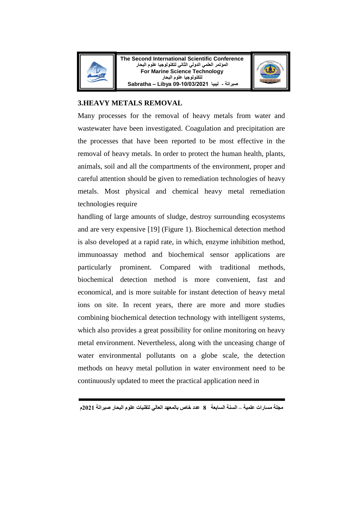

**The Second International Scientific Conference المؤتمر العلمي الدولي الثاني لتكنولوجيا علوم البحار For Marine Science Technology لتكنولوجيا علوم البحار صبراتة - ليبيا 09-10/03/2021 Libya – Sabratha**



## **3.HEAVY METALS REMOVAL**

Many processes for the removal of heavy metals from water and wastewater have been investigated. Coagulation and precipitation are the processes that have been reported to be most effective in the removal of heavy metals. In order to protect the human health, plants, animals, soil and all the compartments of the environment, proper and careful attention should be given to remediation technologies of heavy metals. Most physical and chemical heavy metal remediation technologies require

handling of large amounts of sludge, destroy surrounding ecosystems and are very expensive [19] (Figure 1). Biochemical detection method is also developed at a rapid rate, in which, enzyme inhibition method, immunoassay method and biochemical sensor applications are particularly prominent. Compared with traditional methods, biochemical detection method is more convenient, fast and economical, and is more suitable for instant detection of heavy metal ions on site. In recent years, there are more and more studies combining biochemical detection technology with intelligent systems, which also provides a great possibility for online monitoring on heavy metal environment. Nevertheless, along with the unceasing change of water environmental pollutants on a globe scale, the detection methods on heavy metal pollution in water environment need to be continuously updated to meet the practical application need in

**مجلة مسارات علمية – السنة السابعة 8 عدد خاص بالمعهد العالي لتقنيات علوم البحار صبراتة 2021م**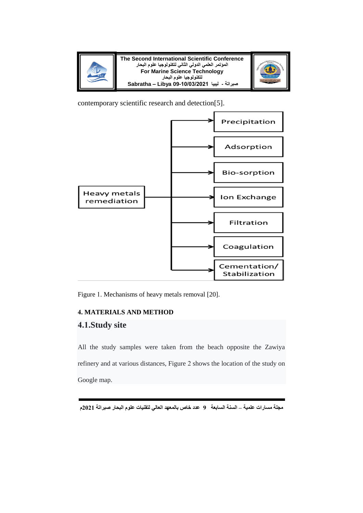



contemporary scientific research and detection[5].



Figure 1. Mechanisms of heavy metals removal [20].

## **4. MATERIALS AND METHOD**

# **4.1.Study site**

All the study samples were taken from the beach opposite the Zawiya refinery and at various distances, Figure 2 shows the location of the study on Google map.

**مجلة مسارات علمية – السنة السابعة 9 عدد خاص بالمعهد العالي لتقنيات علوم البحار صبراتة 2021م**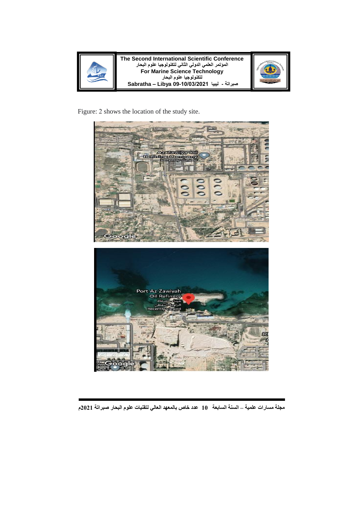



Figure: 2 shows the location of the study site.



**مجلة مسارات علمية – السنة السابعة 10 عدد خاص بالمعهد العالي لتقنيات علوم البحار صبراتة 2021م**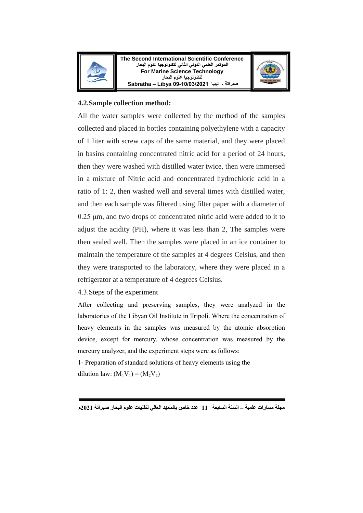



#### **4.2.Sample collection method:**

All the water samples were collected by the method of the samples collected and placed in bottles containing polyethylene with a capacity of 1 liter with screw caps of the same material, and they were placed in basins containing concentrated nitric acid for a period of 24 hours, then they were washed with distilled water twice, then were immersed in a mixture of Nitric acid and concentrated hydrochloric acid in a ratio of 1: 2, then washed well and several times with distilled water, and then each sample was filtered using filter paper with a diameter of  $0.25 \mu m$ , and two drops of concentrated nitric acid were added to it to adjust the acidity (PH), where it was less than 2, The samples were then sealed well. Then the samples were placed in an ice container to maintain the temperature of the samples at 4 degrees Celsius, and then they were transported to the laboratory, where they were placed in a refrigerator at a temperature of 4 degrees Celsius.

#### 4.3. Steps of the experiment

After collecting and preserving samples, they were analyzed in the laboratories of the Libyan Oil Institute in Tripoli. Where the concentration of heavy elements in the samples was measured by the atomic absorption device, except for mercury, whose concentration was measured by the mercury analyzer, and the experiment steps were as follows:

 - Preparation of standard solutions of heavy elements using the dilution law:  $(M_1V_1) = (M_2V_2)$ 

**مجلة مسارات علمية – السنة السابعة 11 عدد خاص بالمعهد العالي لتقنيات علوم البحار صبراتة 2021م**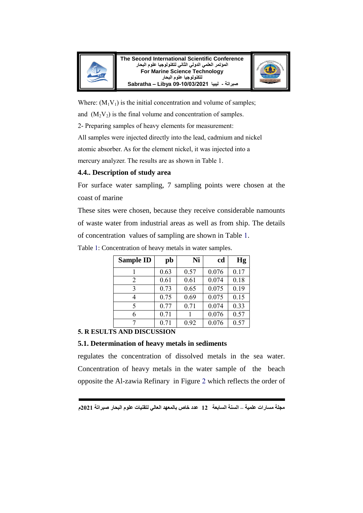



Where:  $(M_1V_1)$  is the initial concentration and volume of samples;

and  $(M_2 V_2)$  is the final volume and concentration of samples.

- Preparing samples of heavy elements for measurement:

All samples were injected directly into the lead, cadmium and nickel

atomic absorber. As for the element nickel, it was injected into a

mercury analyzer. The results are as shown in Table 1.

## **4.4.. Description of study area**

For surface water sampling, 7 sampling points were chosen at the coast of marine

These sites were chosen, because they receive considerable namounts of waste water from industrial areas as well as from ship. The details of concentration values of sampling are shown in Table 1.

| <b>Sample ID</b> | pb   | Ni   | cd    | Hg   |
|------------------|------|------|-------|------|
|                  | 0.63 | 0.57 | 0.076 | 0.17 |
| 2                | 0.61 | 0.61 | 0.074 | 0.18 |
| $\mathcal{R}$    | 0.73 | 0.65 | 0.075 | 0.19 |
| 4                | 0.75 | 0.69 | 0.075 | 0.15 |
| 5                | 0.77 | 0.71 | 0.074 | 0.33 |
| 6                | 0.71 |      | 0.076 | 0.57 |
|                  | 0.71 | 0.92 | 0.076 | 0.57 |
|                  |      |      |       |      |

Table 1: Concentration of heavy metals in water samples.

## **. R ESULTS AND DISCUSSION**

## **5.1. Determination of heavy metals in sediments**

regulates the concentration of dissolved metals in the sea water. Concentration of heavy metals in the water sample of the beach opposite the Al-zawia Refinary in Figure 2 which reflects the order of

**مجلة مسارات علمية – السنة السابعة 12 عدد خاص بالمعهد العالي لتقنيات علوم البحار صبراتة 2021م**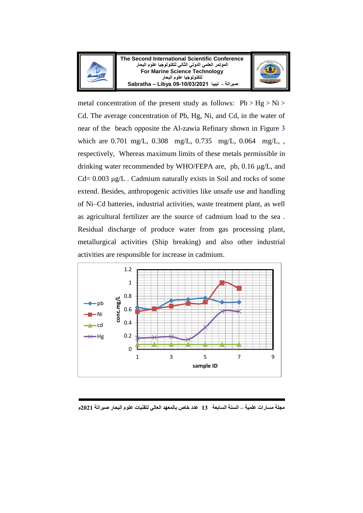



metal concentration of the present study as follows:  $Pb > Hg > Ni$ Cd. The average concentration of Pb, Hg, Ni, and Cd, in the water of near of the beach opposite the Al-zawia Refinary shown in Figure which are 0.701 mg/L, 0.308 mg/L, 0.735 mg/L, 0.064 mg/L, , respectively, Whereas maximum limits of these metals permissible in drinking water recommended by WHO/FEPA are, pb, 0.16 μg/L, and Cd= 0.003 μg/L . Cadmium naturally exists in Soil and rocks of some extend. Besides, anthropogenic activities like unsafe use and handling of Ni–Cd batteries, industrial activities, waste treatment plant, as well as agricultural fertilizer are the source of cadmium load to the sea . Residual discharge of produce water from gas processing plant, metallurgical activities (Ship breaking) and also other industrial activities are responsible for increase in cadmium.



**مجلة مسارات علمية – السنة السابعة 13 عدد خاص بالمعهد العالي لتقنيات علوم البحار صبراتة 2021م**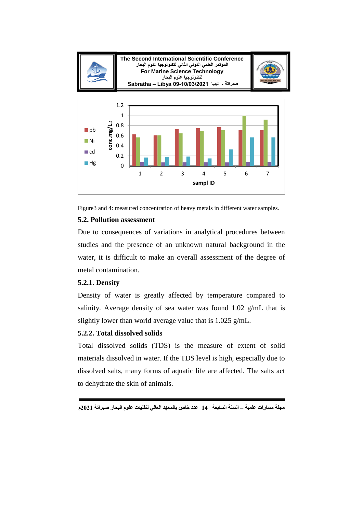

Figure3 and 4: measured concentration of heavy metals in different water samples.

## **5.2. Pollution assessment**

Due to consequences of variations in analytical procedures between studies and the presence of an unknown natural background in the water, it is difficult to make an overall assessment of the degree of metal contamination.

## **5.2.1. Density**

Density of water is greatly affected by temperature compared to salinity. Average density of sea water was found 1.02 g/mL that is slightly lower than world average value that is 1.025 g/mL.

# **5.2.2. Total dissolved solids**

Total dissolved solids (TDS) is the measure of extent of solid materials dissolved in water. If the TDS level is high, especially due to dissolved salts, many forms of aquatic life are affected. The salts act to dehydrate the skin of animals.

**مجلة مسارات علمية – السنة السابعة 14 عدد خاص بالمعهد العالي لتقنيات علوم البحار صبراتة 2021م**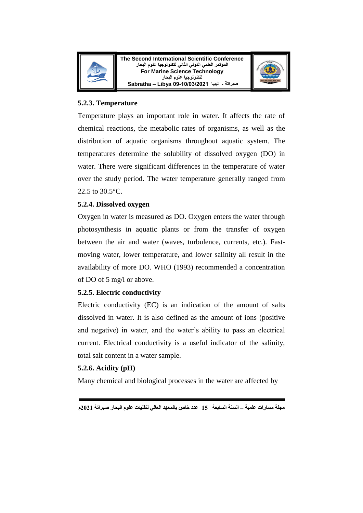



## **5.2.3. Temperature**

Temperature plays an important role in water. It affects the rate of chemical reactions, the metabolic rates of organisms, as well as the distribution of aquatic organisms throughout aquatic system. The temperatures determine the solubility of dissolved oxygen (DO) in water. There were significant differences in the temperature of water over the study period. The water temperature generally ranged from 22.5 to 30.5°C.

## **5.2.4. Dissolved oxygen**

Oxygen in water is measured as DO. Oxygen enters the water through photosynthesis in aquatic plants or from the transfer of oxygen between the air and water (waves, turbulence, currents, etc.). Fastmoving water, lower temperature, and lower salinity all result in the availability of more DO. WHO (1993) recommended a concentration of DO of 5 mg/l or above.

# **5.2.5. Electric conductivity**

Electric conductivity (EC) is an indication of the amount of salts dissolved in water. It is also defined as the amount of ions (positive and negative) in water, and the water's ability to pass an electrical current. Electrical conductivity is a useful indicator of the salinity, total salt content in a water sample.

# **5.2.6. Acidity (pH)**

Many chemical and biological processes in the water are affected by

**مجلة مسارات علمية – السنة السابعة 15 عدد خاص بالمعهد العالي لتقنيات علوم البحار صبراتة 2021م**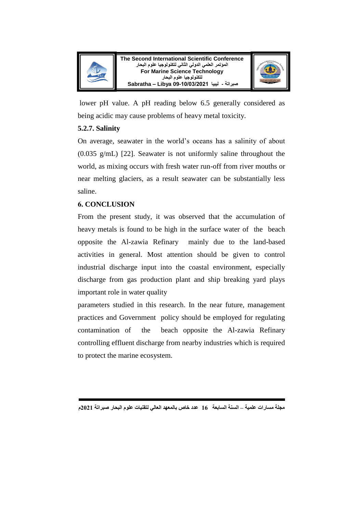



lower pH value. A pH reading below 6.5 generally considered as being acidic may cause problems of heavy metal toxicity.

## **5.2.7. Salinity**

On average, seawater in the world's oceans has a salinity of about (0.035 g/mL) [22]. Seawater is not uniformly saline throughout the world, as mixing occurs with fresh water run-off from river mouths or near melting glaciers, as a result seawater can be substantially less saline.

# **CONCLUSION**

From the present study, it was observed that the accumulation of heavy metals is found to be high in the surface water of the beach opposite the Al-zawia Refinary mainly due to the land-based activities in general. Most attention should be given to control industrial discharge input into the coastal environment, especially discharge from gas production plant and ship breaking yard plays important role in water quality

parameters studied in this research. In the near future, management practices and Government policy should be employed for regulating contamination of the beach opposite the Al-zawia Refinary controlling effluent discharge from nearby industries which is required to protect the marine ecosystem.

**مجلة مسارات علمية – السنة السابعة 16 عدد خاص بالمعهد العالي لتقنيات علوم البحار صبراتة 2021م**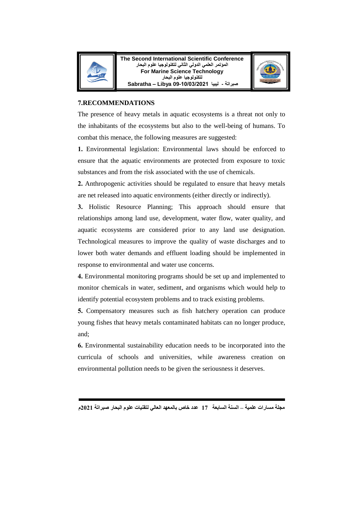

**The Second International Scientific Conference المؤتمر العلمي الدولي الثاني لتكنولوجيا علوم البحار For Marine Science Technology لتكنولوجيا علوم البحار صبراتة - ليبيا 09-10/03/2021 Libya – Sabratha**



#### **7.RECOMMENDATIONS**

The presence of heavy metals in aquatic ecosystems is a threat not only to the inhabitants of the ecosystems but also to the well-being of humans. To combat this menace, the following measures are suggested:

Environmental legislation: Environmental laws should be enforced to ensure that the aquatic environments are protected from exposure to toxic substances and from the risk associated with the use of chemicals.

**2.** Anthropogenic activities should be regulated to ensure that heavy metals are net released into aquatic environments (either directly or indirectly).

**3.** Holistic Resource Planning; This approach should ensure that relationships among land use, development, water flow, water quality, and aquatic ecosystems are considered prior to any land use designation. Technological measures to improve the quality of waste discharges and to lower both water demands and effluent loading should be implemented in response to environmental and water use concerns.

Environmental monitoring programs should be set up and implemented to monitor chemicals in water, sediment, and organisms which would help to identify potential ecosystem problems and to track existing problems.

**5.** Compensatory measures such as fish hatchery operation can produce young fishes that heavy metals contaminated habitats can no longer produce, and;

Environmental sustainability education needs to be incorporated into the curricula of schools and universities, while awareness creation on environmental pollution needs to be given the seriousness it deserves.

**مجلة مسارات علمية – السنة السابعة 17 عدد خاص بالمعهد العالي لتقنيات علوم البحار صبراتة 2021م**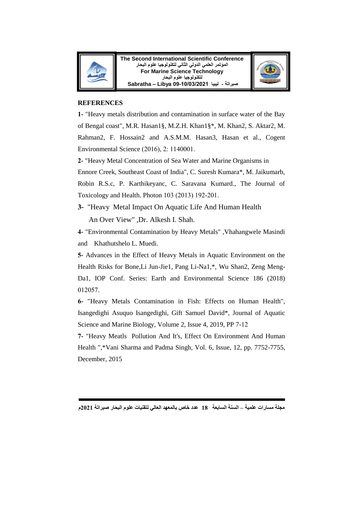



#### **REFERENCES**

**1-** "Heavy metals distribution and contamination in surface water of the Bay of Bengal coast", M.R. Hasan1§, M.Z.H. Khan1§\*, M. Khan2, S. Aktar2, M. Rahman2, F. Hossain2 and A.S.M.M. Hasan3, Hasan et al., Cogent Environmental Science (2016), 2: 1140001.

 **-** "Heavy Metal Concentration of Sea Water and Marine Organisms in

Ennore Creek, Southeast Coast of India", C. Suresh Kumara\*, M. Jaikumarb,

Robin R.S.c, P. Karthikeyanc, C. Saravana Kumard., The Journal of Toxicology and Health. Photon 103 (2013) 192-201.

**3-** "Heavy Metal Impact On Aquatic Life And Human Health An Over View" ,Dr. Alkesh I. Shah.

 **-** "Environmental Contamination by Heavy Metals" ,Vhahangwele Masindi and Khathutshelo L. Muedi.

 **-** Advances in the Effect of Heavy Metals in Aquatic Environment on the Health Risks for Bone,Li Jun-Jie1, Pang Li-Na1,\*, Wu Shan2, Zeng Meng-Da1, IOP Conf. Series: Earth and Environmental Science 186 (2018) 012057.

 **-** "Heavy Metals Contamination in Fish: Effects on Human Health", Isangedighi Asuquo Isangedighi, Gift Samuel David\*, Journal of Aquatic Science and Marine Biology, Volume 2, Issue 4, 2019, PP 7-12

7- "Heavy Meatls Pollution And It's, Effect On Environment And Human Health ",\*Vani Sharma and Padma Singh, Vol. 6, Issue, 12, pp. 7752-7755, December, 2015

**مجلة مسارات علمية – السنة السابعة 18 عدد خاص بالمعهد العالي لتقنيات علوم البحار صبراتة 2021م**